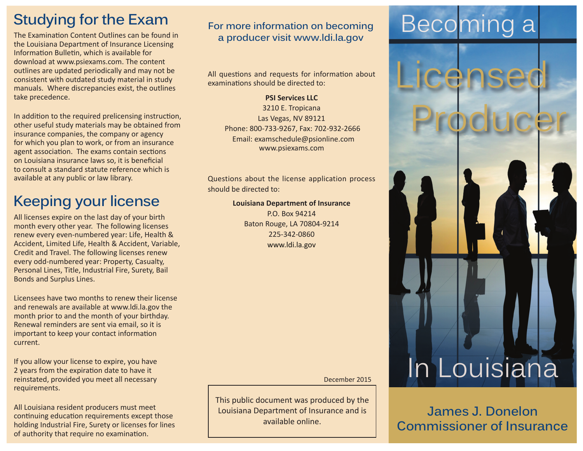# **Studying for the Exam**

The Examination Content Outlines can be found in the [Louisiana Department of Insurance Licensing](https://www.prometric.com/en-us/clients/Louisiana/Documents/LAINSLIB_20130211.pdf)  [Information Bulletin, which is available for](https://www.prometric.com/en-us/clients/Louisiana/Documents/LAINSLIB_20130211.pdf)  [download at www.psiexams.com. T](https://www.prometric.com/en-us/clients/Louisiana/Documents/LAINSLIB_20130211.pdf)he content outlines are updated periodically and may not be consistent with outdated study material in study manuals. Where discrepancies exist, the outlines take precedence.

In addition to the required prelicensing instruction, other useful study materials may be obtained from insurance companies, the company or agency for which you plan to work, or from an insurance agent association. The exams contain sections on Louisiana insurance laws so, it is beneficial to consult a standard statute reference which is available at any public or law library.

# **Keeping your license**

All licenses expire on the last day of your birth month every other year. The following licenses renew every even-numbered year: Life, Health & Accident, Limited Life, Health & Accident, Variable, Credit and Travel. The following licenses renew every odd-numbered year: Property, Casualty, Personal Lines, Title, Industrial Fire, Surety, Bail Bonds and Surplus Lines.

Licensees have two months to renew their license and renewals are available at www.ldi.la.gov the month prior to and the month of your birthday. Renewal reminders are sent via email, so it is important to keep your contact information current.

If you allow your license to expire, you have 2 years from the expiration date to have it reinstated, provided you meet all necessary requirements.

All Louisiana resident producers must meet continuing education requirements except those holding Industrial Fire, Surety or licenses for lines of authority that require no examination.

### **For more information on becoming pr** more information on becoming Beconding a producer visit [www.ldi.la.gov](http://www.ldi.la.gov/licensing/producer)

All questions and requests for information about examinations should be directed to:

### **PSI Services LLC** 3210 E. Tropicana Las Vegas, NV 89121 Phone: 800-733-9267, Fax: 702-932-2666 Email: examschedule@psionline.com www.psiexams.com

Questions about the license application process should be directed to:

#### **Louisiana Department of Insurance**

P.O. Box 94214 Baton Rouge, LA 70804-9214 225-342-0860 www.ldi.la.gov

December 2015

This public document was produced by the Louisiana Department of Insurance and is available online.

Licensed

Producer

In Louisiana

**James J. Donelon Commissioner of Insurance**